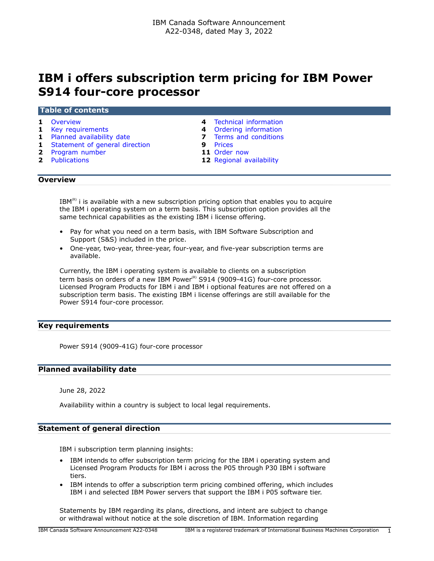# **IBM i offers subscription term pricing for IBM Power S914 four-core processor**

#### **Table of contents**

- 
- **1** [Key requirements](#page-0-1) **4** [Ordering information](#page-3-1)
- **1** [Planned availability date](#page-0-2) **7** [Terms and conditions](#page-6-0)
- **1** [Statement of general direction](#page-0-3)<br> **2** Program number<br> **11** Order now
- **2** [Program number](#page-1-0)
- 
- **1** [Overview](#page-0-0) **4** [Technical information](#page-3-0)
	-
	-
	-
	-
- **2** [Publications](#page-1-1) **12** [Regional availability](#page-11-0)

## <span id="page-0-0"></span>**Overview**

 $IBM<sup>(R)</sup>$  i is available with a new subscription pricing option that enables you to acquire the IBM i operating system on a term basis. This subscription option provides all the same technical capabilities as the existing IBM i license offering.

- Pay for what you need on a term basis, with IBM Software Subscription and Support (S&S) included in the price.
- One-year, two-year, three-year, four-year, and five-year subscription terms are available.

Currently, the IBM i operating system is available to clients on a subscription term basis on orders of a new IBM Power $R$ <sup>8</sup> S914 (9009-41G) four-core processor. Licensed Program Products for IBM i and IBM i optional features are not offered on a subscription term basis. The existing IBM i license offerings are still available for the Power S914 four-core processor.

## <span id="page-0-1"></span>**Key requirements**

Power S914 (9009-41G) four-core processor

#### <span id="page-0-2"></span>**Planned availability date**

June 28, 2022

Availability within a country is subject to local legal requirements.

## <span id="page-0-3"></span>**Statement of general direction**

IBM i subscription term planning insights:

- IBM intends to offer subscription term pricing for the IBM i operating system and Licensed Program Products for IBM i across the P05 through P30 IBM i software tiers.
- IBM intends to offer a subscription term pricing combined offering, which includes IBM i and selected IBM Power servers that support the IBM i P05 software tier.

Statements by IBM regarding its plans, directions, and intent are subject to change or withdrawal without notice at the sole discretion of IBM. Information regarding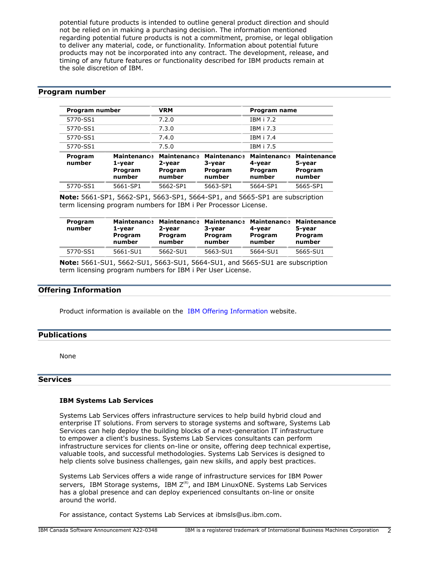potential future products is intended to outline general product direction and should not be relied on in making a purchasing decision. The information mentioned regarding potential future products is not a commitment, promise, or legal obligation to deliver any material, code, or functionality. Information about potential future products may not be incorporated into any contract. The development, release, and timing of any future features or functionality described for IBM products remain at the sole discretion of IBM.

## <span id="page-1-0"></span>**Program number**

| Program number    |                                                   | <b>VRM</b>                                        |                                                   | Program name                                      |                                                   |
|-------------------|---------------------------------------------------|---------------------------------------------------|---------------------------------------------------|---------------------------------------------------|---------------------------------------------------|
| 5770-SS1          |                                                   | 7.2.0                                             |                                                   | <b>IBM i 7.2</b>                                  |                                                   |
| 5770-SS1          |                                                   | 7.3.0                                             |                                                   | <b>IBM i 7.3</b>                                  |                                                   |
| 5770-SS1          |                                                   | 7.4.0                                             |                                                   | IBM i 7.4                                         |                                                   |
| 5770-SS1          |                                                   | 7.5.0                                             |                                                   | IBM i 7.5                                         |                                                   |
| Program<br>number | <b>Maintenance</b><br>1-year<br>Program<br>number | <b>Maintenance</b><br>2-year<br>Program<br>number | <b>Maintenance</b><br>3-year<br>Program<br>number | <b>Maintenance</b><br>4-year<br>Program<br>number | <b>Maintenance</b><br>5-year<br>Program<br>number |
| 5770-SS1          | 5661-SP1                                          | 5662-SP1                                          | 5663-SP1                                          | 5664-SP1                                          | 5665-SP1                                          |

**Note:** 5661-SP1, 5662-SP1, 5663-SP1, 5664-SP1, and 5665-SP1 are subscription term licensing program numbers for IBM i Per Processor License.

| Program<br>number | <b>Maintenance</b><br>1-vear<br>Program<br>number | <b>Maintenance</b><br>2-vear<br>Program<br>number | <b>Maintenance</b><br>3-vear<br>Program<br>number | <b>Maintenance</b><br>4-vear<br>Program<br>number | <b>Maintenance</b><br>5-vear<br>Program<br>number |
|-------------------|---------------------------------------------------|---------------------------------------------------|---------------------------------------------------|---------------------------------------------------|---------------------------------------------------|
| 5770-SS1          | 5661-SU1                                          | 5662-SU1                                          | 5663-SU1                                          | 5664-SU1                                          | 5665-SU1                                          |

**Note:** 5661-SU1, 5662-SU1, 5663-SU1, 5664-SU1, and 5665-SU1 are subscription term licensing program numbers for IBM i Per User License.

## **Offering Information**

Product information is available on the [IBM Offering Information](http://www.ibm.com/common/ssi) website.

## <span id="page-1-1"></span>**Publications**

None

#### **Services**

## **IBM Systems Lab Services**

Systems Lab Services offers infrastructure services to help build hybrid cloud and enterprise IT solutions. From servers to storage systems and software, Systems Lab Services can help deploy the building blocks of a next-generation IT infrastructure to empower a client's business. Systems Lab Services consultants can perform infrastructure services for clients on-line or onsite, offering deep technical expertise, valuable tools, and successful methodologies. Systems Lab Services is designed to help clients solve business challenges, gain new skills, and apply best practices.

Systems Lab Services offers a wide range of infrastructure services for IBM Power servers, IBM Storage systems, IBM  $Z^{(\overline{R})}$ , and IBM LinuxONE. Systems Lab Services has a global presence and can deploy experienced consultants on-line or onsite around the world.

For assistance, contact Systems Lab Services at ibmsls@us.ibm.com.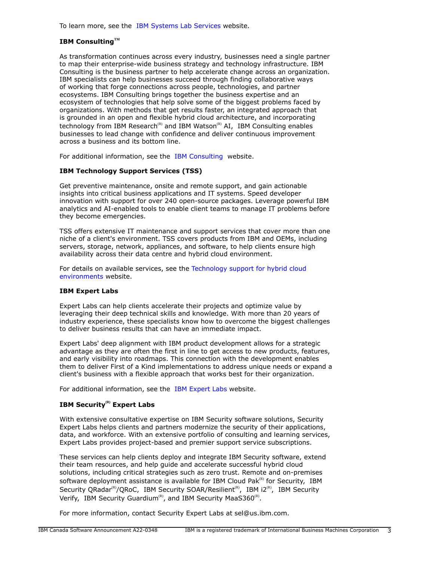To learn more, see the [IBM Systems Lab Services](https://www.ibm.com/it-infrastructure/services/lab-services) website.

## **IBM ConsultingTM**

As transformation continues across every industry, businesses need a single partner to map their enterprise-wide business strategy and technology infrastructure. IBM Consulting is the business partner to help accelerate change across an organization. IBM specialists can help businesses succeed through finding collaborative ways of working that forge connections across people, technologies, and partner ecosystems. IBM Consulting brings together the business expertise and an ecosystem of technologies that help solve some of the biggest problems faced by organizations. With methods that get results faster, an integrated approach that is grounded in an open and flexible hybrid cloud architecture, and incorporating technology from IBM Research<sup>(R)</sup> and IBM Watson<sup>(R)</sup> AI, IBM Consulting enables businesses to lead change with confidence and deliver continuous improvement across a business and its bottom line.

For additional information, see the [IBM Consulting](https://www.ibm.com/consulting) website.

## **IBM Technology Support Services (TSS)**

Get preventive maintenance, onsite and remote support, and gain actionable insights into critical business applications and IT systems. Speed developer innovation with support for over 240 open-source packages. Leverage powerful IBM analytics and AI-enabled tools to enable client teams to manage IT problems before they become emergencies.

TSS offers extensive IT maintenance and support services that cover more than one niche of a client's environment. TSS covers products from IBM and OEMs, including servers, storage, network, appliances, and software, to help clients ensure high availability across their data centre and hybrid cloud environment.

For details on available services, see the [Technology support for hybrid cloud](https://www.ibm.com/services/technology-support) [environments](https://www.ibm.com/services/technology-support) website.

## **IBM Expert Labs**

Expert Labs can help clients accelerate their projects and optimize value by leveraging their deep technical skills and knowledge. With more than 20 years of industry experience, these specialists know how to overcome the biggest challenges to deliver business results that can have an immediate impact.

Expert Labs' deep alignment with IBM product development allows for a strategic advantage as they are often the first in line to get access to new products, features, and early visibility into roadmaps. This connection with the development enables them to deliver First of a Kind implementations to address unique needs or expand a client's business with a flexible approach that works best for their organization.

For additional information, see the [IBM Expert Labs](https://www.ibm.com/products/expertlabs) website.

## **IBM Security(R) Expert Labs**

With extensive consultative expertise on IBM Security software solutions, Security Expert Labs helps clients and partners modernize the security of their applications, data, and workforce. With an extensive portfolio of consulting and learning services, Expert Labs provides project-based and premier support service subscriptions.

These services can help clients deploy and integrate IBM Security software, extend their team resources, and help guide and accelerate successful hybrid cloud solutions, including critical strategies such as zero trust. Remote and on-premises software deployment assistance is available for IBM Cloud Pak $R$ <sup>(R)</sup> for Security, IBM Security QRadar<sup>(R)</sup>/QRoC, IBM Security SOAR/Resilient<sup>(R)</sup>, IBM i2<sup>(R)</sup>, IBM Security Verify, IBM Security Guardium<sup>(R)</sup>, and IBM Security MaaS360<sup>(R)</sup>.

For more information, contact Security Expert Labs at sel@us.ibm.com.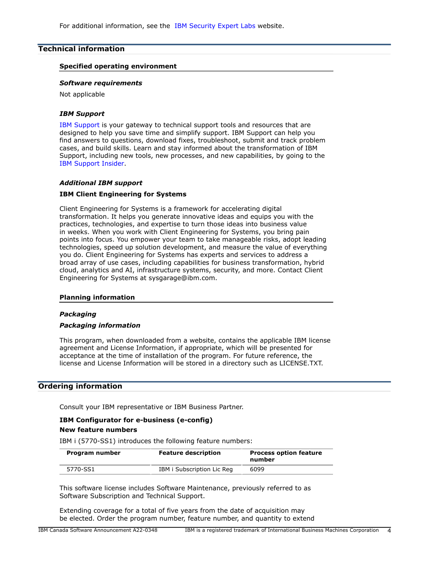For additional information, see the [IBM Security Expert Labs](https://www.ibm.com/security/security-expert-labs) website.

## <span id="page-3-0"></span>**Technical information**

## **Specified operating environment**

#### *Software requirements*

Not applicable

#### *IBM Support*

[IBM Support](https://www.ibm.com/support) is your gateway to technical support tools and resources that are designed to help you save time and simplify support. IBM Support can help you find answers to questions, download fixes, troubleshoot, submit and track problem cases, and build skills. Learn and stay informed about the transformation of IBM Support, including new tools, new processes, and new capabilities, by going to the [IBM Support Insider](https://www.ibm.com/support/insider).

## *Additional IBM support*

## **IBM Client Engineering for Systems**

Client Engineering for Systems is a framework for accelerating digital transformation. It helps you generate innovative ideas and equips you with the practices, technologies, and expertise to turn those ideas into business value in weeks. When you work with Client Engineering for Systems, you bring pain points into focus. You empower your team to take manageable risks, adopt leading technologies, speed up solution development, and measure the value of everything you do. Client Engineering for Systems has experts and services to address a broad array of use cases, including capabilities for business transformation, hybrid cloud, analytics and AI, infrastructure systems, security, and more. Contact Client Engineering for Systems at sysgarage@ibm.com.

#### **Planning information**

#### *Packaging*

#### *Packaging information*

This program, when downloaded from a website, contains the applicable IBM license agreement and License Information, if appropriate, which will be presented for acceptance at the time of installation of the program. For future reference, the license and License Information will be stored in a directory such as LICENSE.TXT.

## <span id="page-3-1"></span>**Ordering information**

Consult your IBM representative or IBM Business Partner.

## **IBM Configurator for e-business (e-config)**

#### **New feature numbers**

IBM i (5770-SS1) introduces the following feature numbers:

| Program number | <b>Feature description</b> | <b>Process option feature</b><br>number |  |
|----------------|----------------------------|-----------------------------------------|--|
| 5770-SS1       | IBM i Subscription Lic Reg | 6099                                    |  |

This software license includes Software Maintenance, previously referred to as Software Subscription and Technical Support.

Extending coverage for a total of five years from the date of acquisition may be elected. Order the program number, feature number, and quantity to extend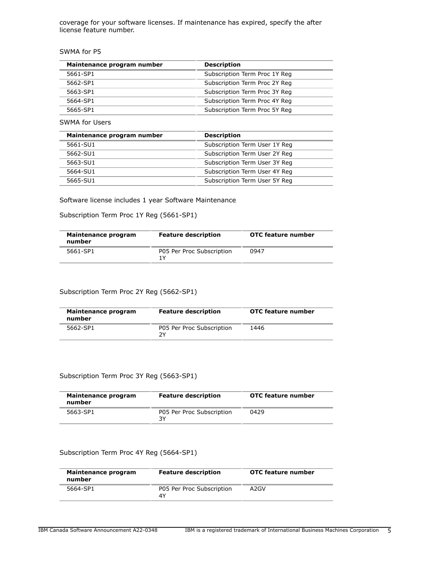coverage for your software licenses. If maintenance has expired, specify the after license feature number.

SWMA for P5

| Maintenance program number | <b>Description</b>            |
|----------------------------|-------------------------------|
| 5661-SP1                   | Subscription Term Proc 1Y Req |
| 5662-SP1                   | Subscription Term Proc 2Y Reg |
| 5663-SP1                   | Subscription Term Proc 3Y Reg |
| 5664-SP1                   | Subscription Term Proc 4Y Reg |
| 5665-SP1                   | Subscription Term Proc 5Y Reg |

SWMA for Users

| Maintenance program number | <b>Description</b>            |
|----------------------------|-------------------------------|
| 5661-SU1                   | Subscription Term User 1Y Reg |
| 5662-SU1                   | Subscription Term User 2Y Reg |
| 5663-SU1                   | Subscription Term User 3Y Req |
| 5664-SU1                   | Subscription Term User 4Y Reg |
| 5665-SU1                   | Subscription Term User 5Y Reg |

Software license includes 1 year Software Maintenance

Subscription Term Proc 1Y Reg (5661-SP1)

| Maintenance program<br>number | <b>Feature description</b>       | OTC feature number |
|-------------------------------|----------------------------------|--------------------|
| 5661-SP1                      | P05 Per Proc Subscription<br>1 V | 0947               |

## Subscription Term Proc 2Y Reg (5662-SP1)

| Maintenance program<br>number | <b>Feature description</b>      | <b>OTC feature number</b> |
|-------------------------------|---------------------------------|---------------------------|
| 5662-SP1                      | P05 Per Proc Subscription<br>7٧ | 1446                      |

## Subscription Term Proc 3Y Reg (5663-SP1)

| Maintenance program<br>number | <b>Feature description</b>      | <b>OTC feature number</b> |
|-------------------------------|---------------------------------|---------------------------|
| 5663-SP1                      | P05 Per Proc Subscription<br>3Y | 0429                      |

## Subscription Term Proc 4Y Reg (5664-SP1)

| Maintenance program<br>number | <b>Feature description</b>      | <b>OTC</b> feature number |
|-------------------------------|---------------------------------|---------------------------|
| 5664-SP1                      | P05 Per Proc Subscription<br>4Y | A2GV                      |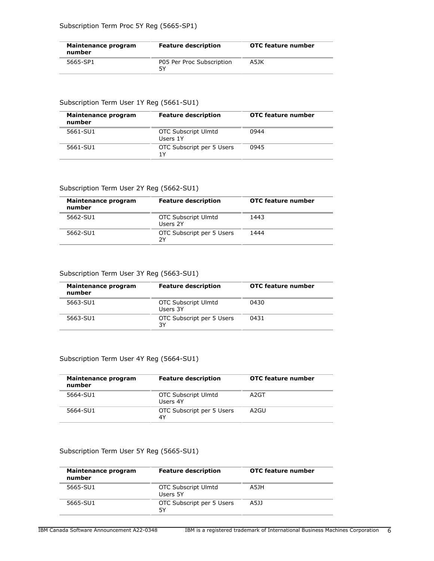| Maintenance program<br>number | <b>Feature description</b>      | OTC feature number |
|-------------------------------|---------------------------------|--------------------|
| 5665-SP1                      | P05 Per Proc Subscription<br>5٧ | A5JK               |

## Subscription Term User 1Y Reg (5661-SU1)

| Maintenance program<br>number | <b>Feature description</b>             | OTC feature number |
|-------------------------------|----------------------------------------|--------------------|
| 5661-SU1                      | <b>OTC Subscript Ulmtd</b><br>Users 1Y | 0944               |
| 5661-SU1                      | OTC Subscript per 5 Users<br>1 Y       | 0945               |

## Subscription Term User 2Y Reg (5662-SU1)

| Maintenance program<br>number | <b>Feature description</b>             | <b>OTC</b> feature number |  |
|-------------------------------|----------------------------------------|---------------------------|--|
| 5662-SU1                      | <b>OTC Subscript Ulmtd</b><br>Users 2Y | 1443                      |  |
| 5662-SU1                      | OTC Subscript per 5 Users<br>2Υ        | 1444                      |  |

## Subscription Term User 3Y Reg (5663-SU1)

| Maintenance program<br>number | <b>Feature description</b>             | OTC feature number |
|-------------------------------|----------------------------------------|--------------------|
| 5663-SU1                      | <b>OTC Subscript Ulmtd</b><br>Users 3Y | 0430               |
| 5663-SU1                      | OTC Subscript per 5 Users<br>3Y        | 0431               |

## Subscription Term User 4Y Reg (5664-SU1)

| Maintenance program<br>number | <b>Feature description</b>             | <b>OTC feature number</b> |
|-------------------------------|----------------------------------------|---------------------------|
| 5664-SU1                      | <b>OTC Subscript Ulmtd</b><br>Users 4Y | A <sub>2</sub> GT         |
| 5664-SU1                      | OTC Subscript per 5 Users<br>4Y        | A2GU                      |

## Subscription Term User 5Y Reg (5665-SU1)

| Maintenance program<br>number | <b>Feature description</b>             | OTC feature number |
|-------------------------------|----------------------------------------|--------------------|
| 5665-SU1                      | <b>OTC Subscript Ulmtd</b><br>Users 5Y | A5JH               |
| 5665-SU1                      | OTC Subscript per 5 Users<br>5Υ        | A5JJ               |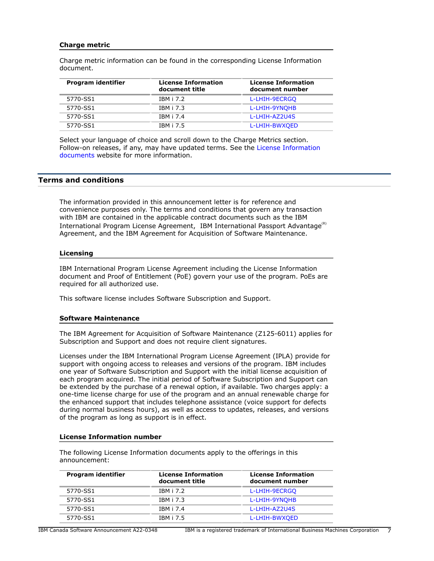## **Charge metric**

Charge metric information can be found in the corresponding License Information document.

| Program identifier | <b>License Information</b><br>document title | <b>License Information</b><br>document number |
|--------------------|----------------------------------------------|-----------------------------------------------|
| 5770-SS1           | <b>TRM i 7.2</b>                             | L-LHIH-9ECRGO                                 |
| 5770-SS1           | IBM i 7.3                                    | L-LHIH-9YNOHB                                 |
| 5770-SS1           | <b>TRM i 7.4</b>                             | L-LHIH-AZ2U4S                                 |
| 5770-SS1           | IBM i 7.5                                    | L-LHIH-BWXQED                                 |

Select your language of choice and scroll down to the Charge Metrics section. Follow-on releases, if any, may have updated terms. See the [License Information](https://www.ibm.com/software/sla/sladb.nsf/search?OpenForm) [documents](https://www.ibm.com/software/sla/sladb.nsf/search?OpenForm) website for more information.

## <span id="page-6-0"></span>**Terms and conditions**

The information provided in this announcement letter is for reference and convenience purposes only. The terms and conditions that govern any transaction with IBM are contained in the applicable contract documents such as the IBM International Program License Agreement, IBM International Passport Advantage<sup>(R)</sup> Agreement, and the IBM Agreement for Acquisition of Software Maintenance.

#### **Licensing**

IBM International Program License Agreement including the License Information document and Proof of Entitlement (PoE) govern your use of the program. PoEs are required for all authorized use.

This software license includes Software Subscription and Support.

#### **Software Maintenance**

The IBM Agreement for Acquisition of Software Maintenance (Z125-6011) applies for Subscription and Support and does not require client signatures.

Licenses under the IBM International Program License Agreement (IPLA) provide for support with ongoing access to releases and versions of the program. IBM includes one year of Software Subscription and Support with the initial license acquisition of each program acquired. The initial period of Software Subscription and Support can be extended by the purchase of a renewal option, if available. Two charges apply: a one-time license charge for use of the program and an annual renewable charge for the enhanced support that includes telephone assistance (voice support for defects during normal business hours), as well as access to updates, releases, and versions of the program as long as support is in effect.

## **License Information number**

| Program identifier | <b>License Information</b><br>document title | <b>License Information</b><br>document number |
|--------------------|----------------------------------------------|-----------------------------------------------|
| 5770-SS1           | <b>IBM i 7.2</b>                             | L-LHIH-9ECRGO                                 |
| 5770-SS1           | IBM i 7.3                                    | L-LHIH-9YNOHB                                 |
| 5770-SS1           | IBM i 7.4                                    | L-LHIH-AZ2U4S                                 |
| 5770-SS1           | IBM i 7.5                                    | L-LHIH-BWXQED                                 |

The following License Information documents apply to the offerings in this announcement: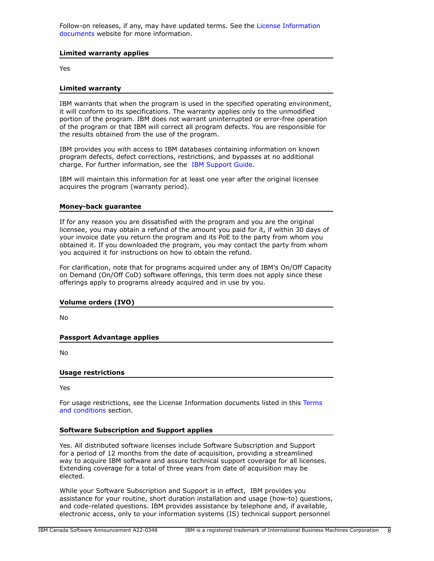Follow-on releases, if any, may have updated terms. See the [License Information](https://www.ibm.com/software/sla/sladb.nsf/search?OpenForm) [documents](https://www.ibm.com/software/sla/sladb.nsf/search?OpenForm) website for more information.

## **Limited warranty applies**

Yes

## **Limited warranty**

IBM warrants that when the program is used in the specified operating environment, it will conform to its specifications. The warranty applies only to the unmodified portion of the program. IBM does not warrant uninterrupted or error-free operation of the program or that IBM will correct all program defects. You are responsible for the results obtained from the use of the program.

IBM provides you with access to IBM databases containing information on known program defects, defect corrections, restrictions, and bypasses at no additional charge. For further information, see the [IBM Support Guide](http://www.ibm.com/support/customercare/sas/f/handbook/home.html).

IBM will maintain this information for at least one year after the original licensee acquires the program (warranty period).

## **Money-back guarantee**

If for any reason you are dissatisfied with the program and you are the original licensee, you may obtain a refund of the amount you paid for it, if within 30 days of your invoice date you return the program and its PoE to the party from whom you obtained it. If you downloaded the program, you may contact the party from whom you acquired it for instructions on how to obtain the refund.

For clarification, note that for programs acquired under any of IBM's On/Off Capacity on Demand (On/Off CoD) software offerings, this term does not apply since these offerings apply to programs already acquired and in use by you.

#### **Volume orders (IVO)**

No

**Passport Advantage applies**

No

#### **Usage restrictions**

Yes

For usage restrictions, see the License Information documents listed in this [Terms](#page-6-0) [and conditions](#page-6-0) section.

## **Software Subscription and Support applies**

Yes. All distributed software licenses include Software Subscription and Support for a period of 12 months from the date of acquisition, providing a streamlined way to acquire IBM software and assure technical support coverage for all licenses. Extending coverage for a total of three years from date of acquisition may be elected.

While your Software Subscription and Support is in effect, IBM provides you assistance for your routine, short duration installation and usage (how-to) questions, and code-related questions. IBM provides assistance by telephone and, if available, electronic access, only to your information systems (IS) technical support personnel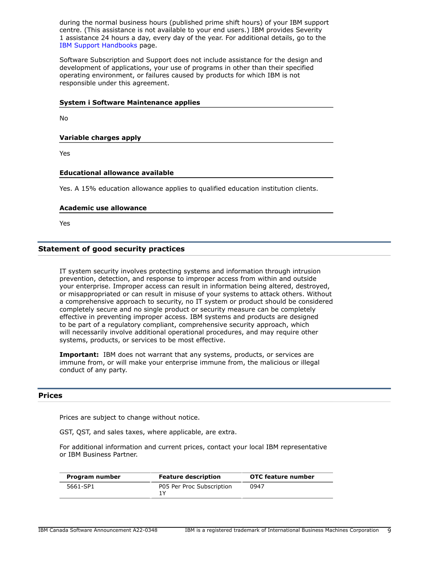during the normal business hours (published prime shift hours) of your IBM support centre. (This assistance is not available to your end users.) IBM provides Severity 1 assistance 24 hours a day, every day of the year. For additional details, go to the [IBM Support Handbooks](http://www.ibm.com/support/handbook) page.

Software Subscription and Support does not include assistance for the design and development of applications, your use of programs in other than their specified operating environment, or failures caused by products for which IBM is not responsible under this agreement.

## **System i Software Maintenance applies**

No

**Variable charges apply**

Yes

## **Educational allowance available**

Yes. A 15% education allowance applies to qualified education institution clients.

#### **Academic use allowance**

Yes

## **Statement of good security practices**

IT system security involves protecting systems and information through intrusion prevention, detection, and response to improper access from within and outside your enterprise. Improper access can result in information being altered, destroyed, or misappropriated or can result in misuse of your systems to attack others. Without a comprehensive approach to security, no IT system or product should be considered completely secure and no single product or security measure can be completely effective in preventing improper access. IBM systems and products are designed to be part of a regulatory compliant, comprehensive security approach, which will necessarily involve additional operational procedures, and may require other systems, products, or services to be most effective.

**Important:** IBM does not warrant that any systems, products, or services are immune from, or will make your enterprise immune from, the malicious or illegal conduct of any party.

## <span id="page-8-0"></span>**Prices**

Prices are subject to change without notice.

GST, QST, and sales taxes, where applicable, are extra.

For additional information and current prices, contact your local IBM representative or IBM Business Partner.

| Program number | <b>Feature description</b> | OTC feature number |
|----------------|----------------------------|--------------------|
| 5661-SP1       | P05 Per Proc Subscription  | 0947               |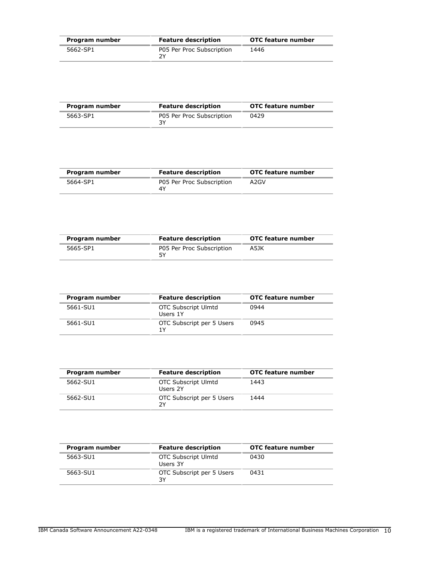| Program number | <b>Feature description</b>      | <b>OTC</b> feature number |
|----------------|---------------------------------|---------------------------|
| 5662-SP1       | P05 Per Proc Subscription<br>νY | 1446                      |

| Program number | <b>Feature description</b> | OTC feature number |
|----------------|----------------------------|--------------------|
| 5663-SP1       | P05 Per Proc Subscription  | 0429               |

| Program number | <b>Feature description</b>      | OTC feature number |
|----------------|---------------------------------|--------------------|
| 5664-SP1       | P05 Per Proc Subscription<br>4٧ | A2GV               |

| Program number | <b>Feature description</b>      | OTC feature number |
|----------------|---------------------------------|--------------------|
| 5665-SP1       | P05 Per Proc Subscription<br>5γ | A5JK               |

| Program number | <b>Feature description</b>             | <b>OTC</b> feature number |
|----------------|----------------------------------------|---------------------------|
| 5661-SU1       | <b>OTC Subscript Ulmtd</b><br>Users 1Y | 0944                      |
| 5661-SU1       | OTC Subscript per 5 Users<br>1 Y       | 0945                      |

| Program number | <b>Feature description</b>             | <b>OTC</b> feature number |
|----------------|----------------------------------------|---------------------------|
| 5662-SU1       | <b>OTC Subscript Ulmtd</b><br>Users 2Y | 1443                      |
| 5662-SU1       | OTC Subscript per 5 Users<br>7Y        | 1444                      |

| Program number | <b>Feature description</b>             | OTC feature number |
|----------------|----------------------------------------|--------------------|
| 5663-SU1       | <b>OTC Subscript Ulmtd</b><br>Users 3Y | 0430               |
| 5663-SU1       | OTC Subscript per 5 Users<br>3Y        | 0431               |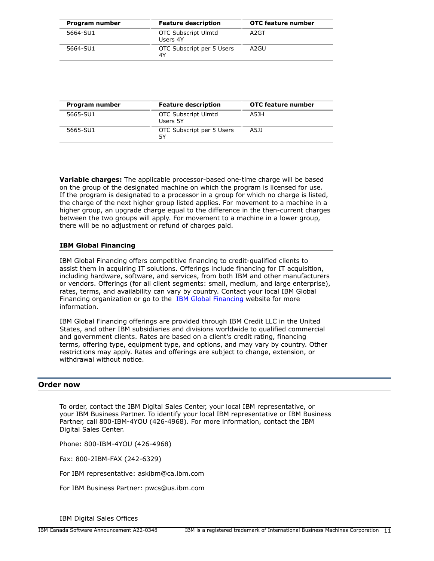| Program number | <b>Feature description</b>             | <b>OTC</b> feature number |
|----------------|----------------------------------------|---------------------------|
| 5664-SU1       | <b>OTC Subscript Ulmtd</b><br>Users 4Y | A2GT                      |
| 5664-SU1       | OTC Subscript per 5 Users<br>4Y        | A2GU                      |

| Program number | <b>Feature description</b>             | <b>OTC</b> feature number |
|----------------|----------------------------------------|---------------------------|
| 5665-SU1       | <b>OTC Subscript Ulmtd</b><br>Users 5Y | A5JH                      |
| 5665-SU1       | OTC Subscript per 5 Users<br>5Υ        | A5JJ                      |

**Variable charges:** The applicable processor-based one-time charge will be based on the group of the designated machine on which the program is licensed for use. If the program is designated to a processor in a group for which no charge is listed, the charge of the next higher group listed applies. For movement to a machine in a higher group, an upgrade charge equal to the difference in the then-current charges between the two groups will apply. For movement to a machine in a lower group, there will be no adjustment or refund of charges paid.

## **IBM Global Financing**

IBM Global Financing offers competitive financing to credit-qualified clients to assist them in acquiring IT solutions. Offerings include financing for IT acquisition, including hardware, software, and services, from both IBM and other manufacturers or vendors. Offerings (for all client segments: small, medium, and large enterprise), rates, terms, and availability can vary by country. Contact your local IBM Global Financing organization or go to the [IBM Global Financing](http://www.ibm.com/financing) website for more information.

IBM Global Financing offerings are provided through IBM Credit LLC in the United States, and other IBM subsidiaries and divisions worldwide to qualified commercial and government clients. Rates are based on a client's credit rating, financing terms, offering type, equipment type, and options, and may vary by country. Other restrictions may apply. Rates and offerings are subject to change, extension, or withdrawal without notice.

## <span id="page-10-0"></span>**Order now**

To order, contact the IBM Digital Sales Center, your local IBM representative, or your IBM Business Partner. To identify your local IBM representative or IBM Business Partner, call 800-IBM-4YOU (426-4968). For more information, contact the IBM Digital Sales Center.

Phone: 800-IBM-4YOU (426-4968)

Fax: 800-2IBM-FAX (242-6329)

For IBM representative: askibm@ca.ibm.com

For IBM Business Partner: pwcs@us.ibm.com

IBM Digital Sales Offices